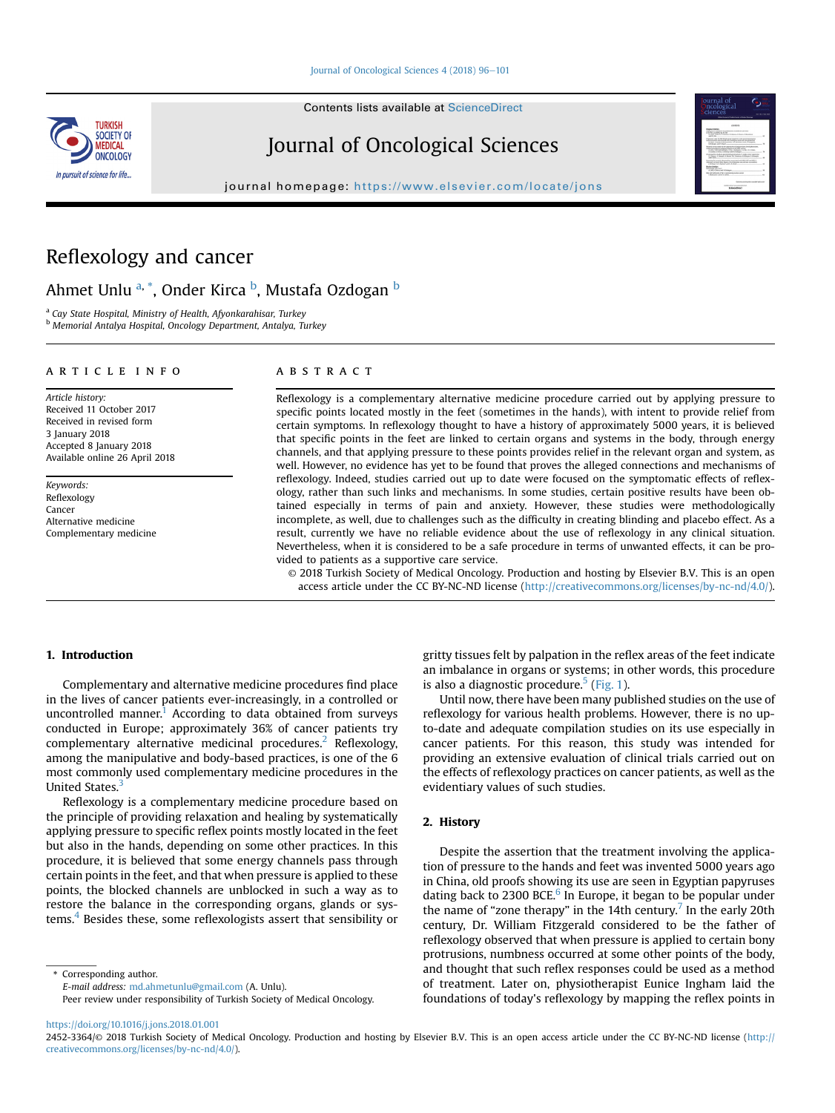Contents lists available at ScienceDirect

# Journal of Oncological Sciences

journal homepage: [https://www.elsevier.com/locate/jons](http://www.elsevier.com/locate/jons)

# Reflexology and cancer

Ahmet Unlu <sup>a, \*</sup>, Onder Kirca <sup>b</sup>, Mustafa Ozdogan <sup>b</sup>

<sup>a</sup> Cay State Hospital, Ministry of Health, Afyonkarahisar, Turkey <sup>b</sup> Memorial Antalya Hospital, Oncology Department, Antalya, Turkey

#### article info

Article history: Received 11 October 2017 Received in revised form 3 January 2018 Accepted 8 January 2018 Available online 26 April 2018

Keywords: Reflexology Cancer Alternative medicine Complementary medicine

## ABSTRACT

Reflexology is a complementary alternative medicine procedure carried out by applying pressure to specific points located mostly in the feet (sometimes in the hands), with intent to provide relief from certain symptoms. In reflexology thought to have a history of approximately 5000 years, it is believed that specific points in the feet are linked to certain organs and systems in the body, through energy channels, and that applying pressure to these points provides relief in the relevant organ and system, as well. However, no evidence has yet to be found that proves the alleged connections and mechanisms of reflexology. Indeed, studies carried out up to date were focused on the symptomatic effects of reflexology, rather than such links and mechanisms. In some studies, certain positive results have been obtained especially in terms of pain and anxiety. However, these studies were methodologically incomplete, as well, due to challenges such as the difficulty in creating blinding and placebo effect. As a result, currently we have no reliable evidence about the use of reflexology in any clinical situation. Nevertheless, when it is considered to be a safe procedure in terms of unwanted effects, it can be provided to patients as a supportive care service.

© 2018 Turkish Society of Medical Oncology. Production and hosting by Elsevier B.V. This is an open access article under the CC BY-NC-ND license [\(http://creativecommons.org/licenses/by-nc-nd/4.0/](http://creativecommons.org/licenses/by-nc-nd/4.0/)).

## 1. Introduction

Complementary and alternative medicine procedures find place in the lives of cancer patients ever-increasingly, in a controlled or uncontrolled manner.<sup>1</sup> According to data obtained from surveys conducted in Europe; approximately 36% of cancer patients try complementary alternative medicinal procedures.<sup>[2](#page-5-0)</sup> Reflexology, among the manipulative and body-based practices, is one of the 6 most commonly used complementary medicine procedures in the United States.<sup>[3](#page-5-0)</sup>

Reflexology is a complementary medicine procedure based on the principle of providing relaxation and healing by systematically applying pressure to specific reflex points mostly located in the feet but also in the hands, depending on some other practices. In this procedure, it is believed that some energy channels pass through certain points in the feet, and that when pressure is applied to these points, the blocked channels are unblocked in such a way as to restore the balance in the corresponding organs, glands or sys-tems.<sup>[4](#page-5-0)</sup> Besides these, some reflexologists assert that sensibility or

\* Corresponding author. E-mail address: [md.ahmetunlu@gmail.com](mailto:md.ahmetunlu@gmail.com) (A. Unlu). Peer review under responsibility of Turkish Society of Medical Oncology. gritty tissues felt by palpation in the reflex areas of the feet indicate an imbalance in organs or systems; in other words, this procedure is also a diagnostic procedure.<sup>[5](#page-5-0)</sup> ([Fig. 1\)](#page-1-0).

Until now, there have been many published studies on the use of reflexology for various health problems. However, there is no upto-date and adequate compilation studies on its use especially in cancer patients. For this reason, this study was intended for providing an extensive evaluation of clinical trials carried out on the effects of reflexology practices on cancer patients, as well as the evidentiary values of such studies.

#### 2. History

Despite the assertion that the treatment involving the application of pressure to the hands and feet was invented 5000 years ago in China, old proofs showing its use are seen in Egyptian papyruses dating back to 2300 BCE. $6$  In Europe, it began to be popular under the name of "zone therapy" in the 14th century.<sup>[7](#page-5-0)</sup> In the early 20th century, Dr. William Fitzgerald considered to be the father of reflexology observed that when pressure is applied to certain bony protrusions, numbness occurred at some other points of the body, and thought that such reflex responses could be used as a method of treatment. Later on, physiotherapist Eunice Ingham laid the foundations of today's reflexology by mapping the reflex points in



<sup>2452-3364/</sup>© 2018 Turkish Society of Medical Oncology. Production and hosting by Elsevier B.V. This is an open access article under the CC BY-NC-ND license [\(http://](http://creativecommons.org/licenses/by-nc-nd/4.0/) [creativecommons.org/licenses/by-nc-nd/4.0/](http://creativecommons.org/licenses/by-nc-nd/4.0/)).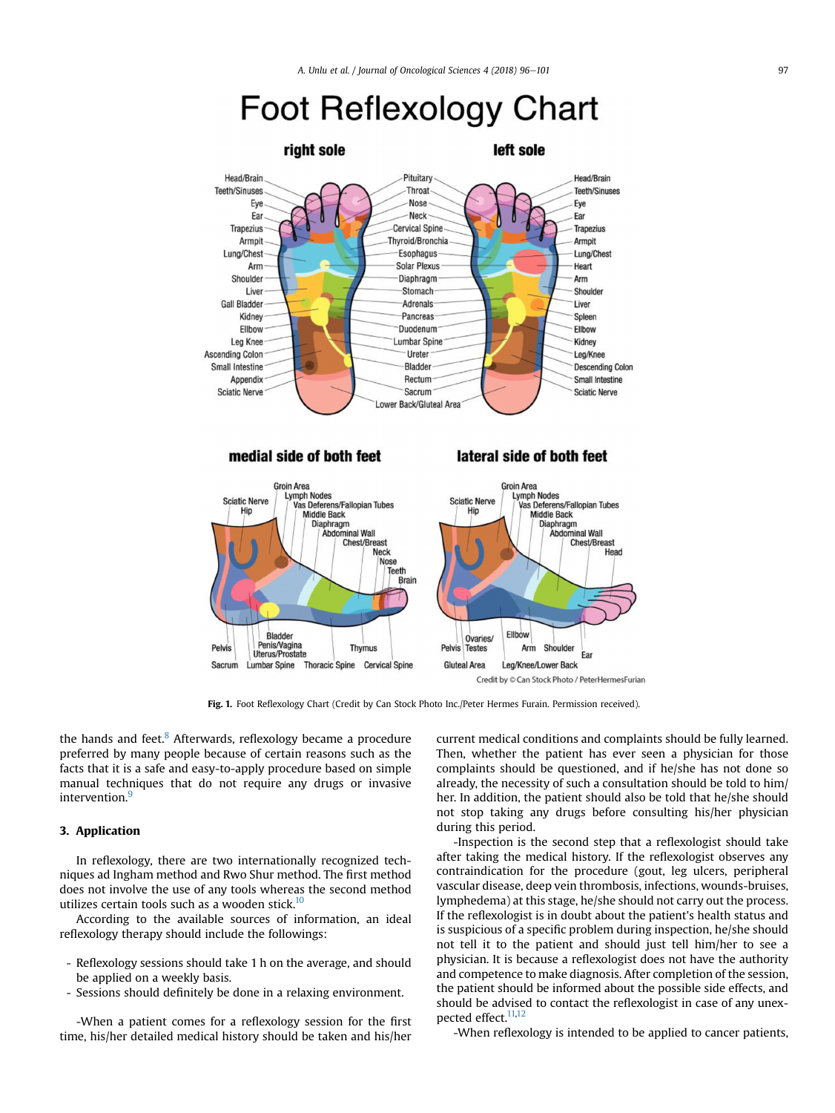<span id="page-1-0"></span>

# **Foot Reflexology Chart**

Fig. 1. Foot Reflexology Chart (Credit by Can Stock Photo Inc./Peter Hermes Furain. Permission received).

the hands and feet.<sup>[8](#page-5-0)</sup> Afterwards, reflexology became a procedure preferred by many people because of certain reasons such as the facts that it is a safe and easy-to-apply procedure based on simple manual techniques that do not require any drugs or invasive intervention.<sup>9</sup>

# 3. Application

In reflexology, there are two internationally recognized techniques ad Ingham method and Rwo Shur method. The first method does not involve the use of any tools whereas the second method utilizes certain tools such as a wooden stick.<sup>[10](#page-5-0)</sup>

According to the available sources of information, an ideal reflexology therapy should include the followings:

- Reflexology sessions should take 1 h on the average, and should be applied on a weekly basis.
- Sessions should definitely be done in a relaxing environment.

-When a patient comes for a reflexology session for the first time, his/her detailed medical history should be taken and his/her current medical conditions and complaints should be fully learned. Then, whether the patient has ever seen a physician for those complaints should be questioned, and if he/she has not done so already, the necessity of such a consultation should be told to him/ her. In addition, the patient should also be told that he/she should not stop taking any drugs before consulting his/her physician during this period.

-Inspection is the second step that a reflexologist should take after taking the medical history. If the reflexologist observes any contraindication for the procedure (gout, leg ulcers, peripheral vascular disease, deep vein thrombosis, infections, wounds-bruises, lymphedema) at this stage, he/she should not carry out the process. If the reflexologist is in doubt about the patient's health status and is suspicious of a specific problem during inspection, he/she should not tell it to the patient and should just tell him/her to see a physician. It is because a reflexologist does not have the authority and competence to make diagnosis. After completion of the session, the patient should be informed about the possible side effects, and should be advised to contact the reflexologist in case of any unexpected effect[.11,12](#page-5-0)

-When reflexology is intended to be applied to cancer patients,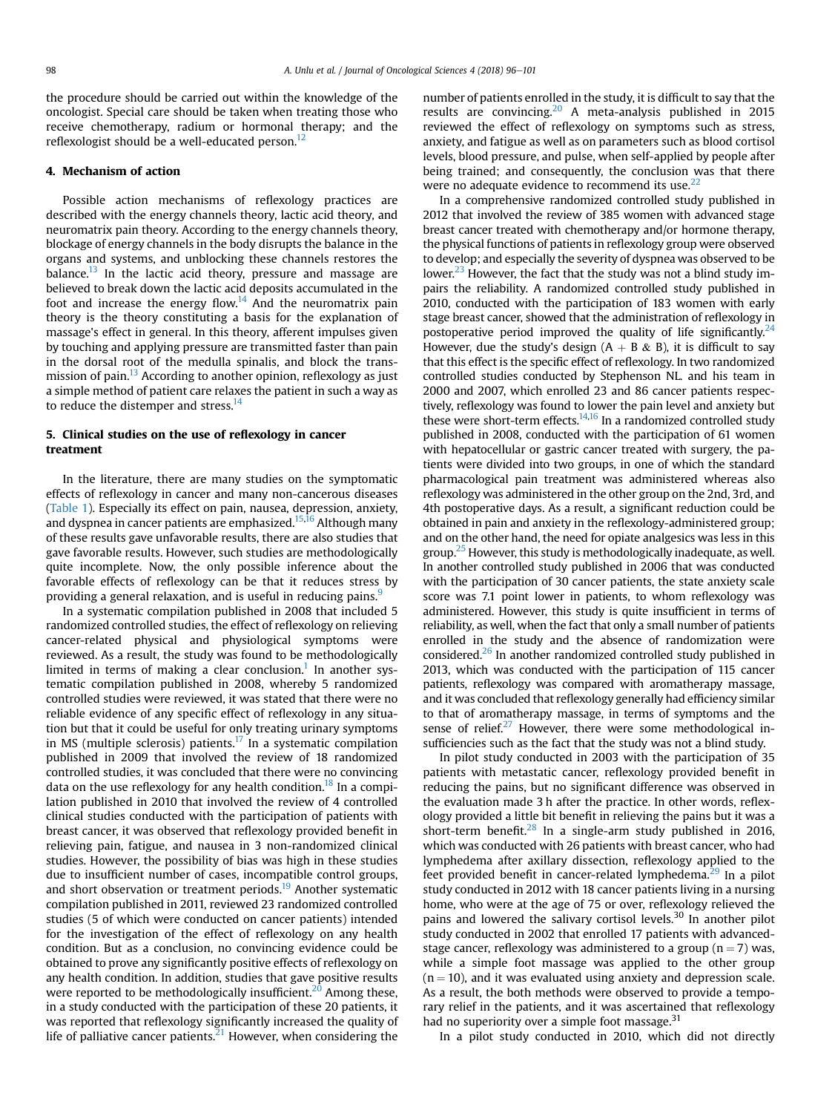the procedure should be carried out within the knowledge of the oncologist. Special care should be taken when treating those who receive chemotherapy, radium or hormonal therapy; and the reflexologist should be a well-educated person.<sup>[12](#page-5-0)</sup>

#### 4. Mechanism of action

Possible action mechanisms of reflexology practices are described with the energy channels theory, lactic acid theory, and neuromatrix pain theory. According to the energy channels theory, blockage of energy channels in the body disrupts the balance in the organs and systems, and unblocking these channels restores the balance.<sup>13</sup> In the lactic acid theory, pressure and massage are believed to break down the lactic acid deposits accumulated in the foot and increase the energy flow.<sup>[14](#page-5-0)</sup> And the neuromatrix pain theory is the theory constituting a basis for the explanation of massage's effect in general. In this theory, afferent impulses given by touching and applying pressure are transmitted faster than pain in the dorsal root of the medulla spinalis, and block the transmission of pain. $^{13}$  According to another opinion, reflexology as just a simple method of patient care relaxes the patient in such a way as to reduce the distemper and stress. $^{14}$  $^{14}$  $^{14}$ 

#### 5. Clinical studies on the use of reflexology in cancer treatment

In the literature, there are many studies on the symptomatic effects of reflexology in cancer and many non-cancerous diseases ([Table 1\)](#page-3-0). Especially its effect on pain, nausea, depression, anxiety, and dyspnea in cancer patients are emphasized.<sup>15,16</sup> Although many of these results gave unfavorable results, there are also studies that gave favorable results. However, such studies are methodologically quite incomplete. Now, the only possible inference about the favorable effects of reflexology can be that it reduces stress by providing a general relaxation, and is useful in reducing pains.<sup>[9](#page-5-0)</sup>

In a systematic compilation published in 2008 that included 5 randomized controlled studies, the effect of reflexology on relieving cancer-related physical and physiological symptoms were reviewed. As a result, the study was found to be methodologically limited in terms of making a clear conclusion.<sup>[1](#page-5-0)</sup> In another systematic compilation published in 2008, whereby 5 randomized controlled studies were reviewed, it was stated that there were no reliable evidence of any specific effect of reflexology in any situation but that it could be useful for only treating urinary symptoms in MS (multiple sclerosis) patients. $17$  In a systematic compilation published in 2009 that involved the review of 18 randomized controlled studies, it was concluded that there were no convincing data on the use reflexology for any health condition.<sup>[18](#page-5-0)</sup> In a compilation published in 2010 that involved the review of 4 controlled clinical studies conducted with the participation of patients with breast cancer, it was observed that reflexology provided benefit in relieving pain, fatigue, and nausea in 3 non-randomized clinical studies. However, the possibility of bias was high in these studies due to insufficient number of cases, incompatible control groups, and short observation or treatment periods.<sup>19</sup> Another systematic compilation published in 2011, reviewed 23 randomized controlled studies (5 of which were conducted on cancer patients) intended for the investigation of the effect of reflexology on any health condition. But as a conclusion, no convincing evidence could be obtained to prove any significantly positive effects of reflexology on any health condition. In addition, studies that gave positive results were reported to be methodologically insufficient.<sup>[20](#page-5-0)</sup> Among these, in a study conducted with the participation of these 20 patients, it was reported that reflexology significantly increased the quality of life of palliative cancer patients.<sup>[21](#page-5-0)</sup> However, when considering the number of patients enrolled in the study, it is difficult to say that the results are convincing.<sup>[20](#page-5-0)</sup> A meta-analysis published in 2015 reviewed the effect of reflexology on symptoms such as stress, anxiety, and fatigue as well as on parameters such as blood cortisol levels, blood pressure, and pulse, when self-applied by people after being trained; and consequently, the conclusion was that there were no adequate evidence to recommend its use. $22$ 

In a comprehensive randomized controlled study published in 2012 that involved the review of 385 women with advanced stage breast cancer treated with chemotherapy and/or hormone therapy, the physical functions of patients in reflexology group were observed to develop; and especially the severity of dyspnea was observed to be lower.<sup>23</sup> However, the fact that the study was not a blind study impairs the reliability. A randomized controlled study published in 2010, conducted with the participation of 183 women with early stage breast cancer, showed that the administration of reflexology in postoperative period improved the quality of life significantly. $24$ However, due the study's design  $(A + B & B)$ , it is difficult to say that this effect is the specific effect of reflexology. In two randomized controlled studies conducted by Stephenson NL. and his team in 2000 and 2007, which enrolled 23 and 86 cancer patients respectively, reflexology was found to lower the pain level and anxiety but these were short-term effects. $14,16$  $14,16$  In a randomized controlled study published in 2008, conducted with the participation of 61 women with hepatocellular or gastric cancer treated with surgery, the patients were divided into two groups, in one of which the standard pharmacological pain treatment was administered whereas also reflexology was administered in the other group on the 2nd, 3rd, and 4th postoperative days. As a result, a significant reduction could be obtained in pain and anxiety in the reflexology-administered group; and on the other hand, the need for opiate analgesics was less in this group.<sup>25</sup> However, this study is methodologically inadequate, as well. In another controlled study published in 2006 that was conducted with the participation of 30 cancer patients, the state anxiety scale score was 7.1 point lower in patients, to whom reflexology was administered. However, this study is quite insufficient in terms of reliability, as well, when the fact that only a small number of patients enrolled in the study and the absence of randomization were considered[.26](#page-5-0) In another randomized controlled study published in 2013, which was conducted with the participation of 115 cancer patients, reflexology was compared with aromatherapy massage, and it was concluded that reflexology generally had efficiency similar to that of aromatherapy massage, in terms of symptoms and the sense of relief. $27$  However, there were some methodological insufficiencies such as the fact that the study was not a blind study.

In pilot study conducted in 2003 with the participation of 35 patients with metastatic cancer, reflexology provided benefit in reducing the pains, but no significant difference was observed in the evaluation made 3 h after the practice. In other words, reflexology provided a little bit benefit in relieving the pains but it was a short-term benefit. $^{28}$  $^{28}$  $^{28}$  In a single-arm study published in 2016, which was conducted with 26 patients with breast cancer, who had lymphedema after axillary dissection, reflexology applied to the feet provided benefit in cancer-related lymphedema.<sup>[29](#page-5-0)</sup> In a pilot study conducted in 2012 with 18 cancer patients living in a nursing home, who were at the age of 75 or over, reflexology relieved the pains and lowered the salivary cortisol levels.<sup>30</sup> In another pilot study conducted in 2002 that enrolled 17 patients with advancedstage cancer, reflexology was administered to a group ( $n = 7$ ) was, while a simple foot massage was applied to the other group  $(n = 10)$ , and it was evaluated using anxiety and depression scale. As a result, the both methods were observed to provide a temporary relief in the patients, and it was ascertained that reflexology had no superiority over a simple foot massage. $31$ 

In a pilot study conducted in 2010, which did not directly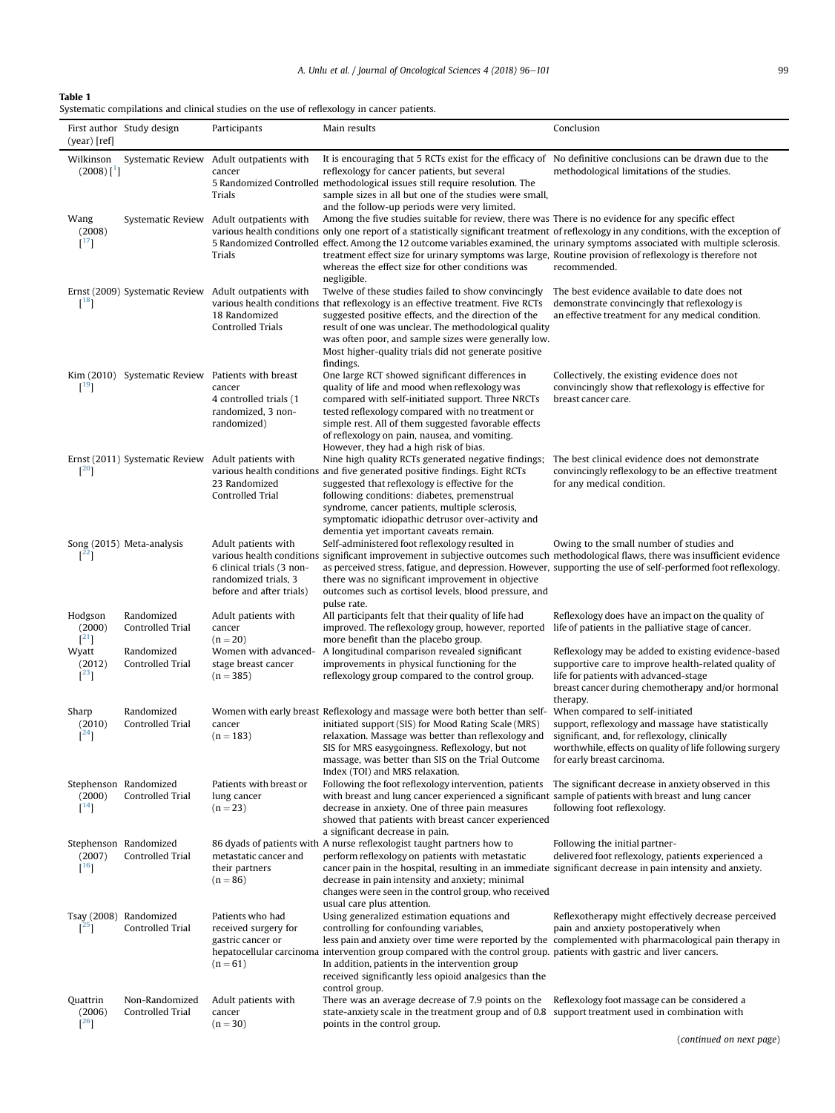# <span id="page-3-0"></span>Table 1

| Systematic compilations and clinical studies on the use of reflexology in cancer patients. |  |  |  |  |
|--------------------------------------------------------------------------------------------|--|--|--|--|
|--------------------------------------------------------------------------------------------|--|--|--|--|

| $(year)$ [ref]                           | First author Study design                 | Participants                                                                                                               | Main results                                                                                                                                                                                                                                                                                                                                                                                                          | Conclusion                                                                                                                                                                                                                         |
|------------------------------------------|-------------------------------------------|----------------------------------------------------------------------------------------------------------------------------|-----------------------------------------------------------------------------------------------------------------------------------------------------------------------------------------------------------------------------------------------------------------------------------------------------------------------------------------------------------------------------------------------------------------------|------------------------------------------------------------------------------------------------------------------------------------------------------------------------------------------------------------------------------------|
| Wilkinson<br>$(2008)$ <sup>[1</sup> ]    |                                           | Systematic Review Adult outpatients with<br>cancer<br>Trials                                                               | It is encouraging that 5 RCTs exist for the efficacy of No definitive conclusions can be drawn due to the<br>reflexology for cancer patients, but several<br>5 Randomized Controlled methodological issues still require resolution. The<br>sample sizes in all but one of the studies were small,<br>and the follow-up periods were very limited.                                                                    | methodological limitations of the studies.                                                                                                                                                                                         |
| Wang<br>(2008)<br>$[1^7]$                |                                           | Systematic Review Adult outpatients with<br>Trials                                                                         | Among the five studies suitable for review, there was There is no evidence for any specific effect<br>5 Randomized Controlled effect. Among the 12 outcome variables examined, the urinary symptoms associated with multiple sclerosis.<br>treatment effect size for urinary symptoms was large, Routine provision of reflexology is therefore not<br>whereas the effect size for other conditions was<br>negligible. | various health conditions only one report of a statistically significant treatment of reflexology in any conditions, with the exception of<br>recommended.                                                                         |
| [18]                                     |                                           | Ernst (2009) Systematic Review Adult outpatients with<br>18 Randomized<br><b>Controlled Trials</b>                         | Twelve of these studies failed to show convincingly<br>various health conditions that reflexology is an effective treatment. Five RCTs<br>suggested positive effects, and the direction of the<br>result of one was unclear. The methodological quality<br>was often poor, and sample sizes were generally low.<br>Most higher-quality trials did not generate positive<br>findings.                                  | The best evidence available to date does not<br>demonstrate convincingly that reflexology is<br>an effective treatment for any medical condition.                                                                                  |
| [19]                                     |                                           | Kim (2010) Systematic Review Patients with breast<br>cancer<br>4 controlled trials (1<br>randomized, 3 non-<br>randomized) | One large RCT showed significant differences in<br>quality of life and mood when reflexology was<br>compared with self-initiated support. Three NRCTs<br>tested reflexology compared with no treatment or<br>simple rest. All of them suggested favorable effects<br>of reflexology on pain, nausea, and vomiting.<br>However, they had a high risk of bias.                                                          | Collectively, the existing evidence does not<br>convincingly show that reflexology is effective for<br>breast cancer care.                                                                                                         |
| [20]                                     |                                           | Ernst (2011) Systematic Review Adult patients with<br>23 Randomized<br>Controlled Trial                                    | Nine high quality RCTs generated negative findings;<br>various health conditions and five generated positive findings. Eight RCTs<br>suggested that reflexology is effective for the<br>following conditions: diabetes, premenstrual<br>syndrome, cancer patients, multiple sclerosis,<br>symptomatic idiopathic detrusor over-activity and<br>dementia yet important caveats remain.                                 | The best clinical evidence does not demonstrate<br>convincingly reflexology to be an effective treatment<br>for any medical condition.                                                                                             |
| $[{}^{22}]$                              | Song (2015) Meta-analysis                 | Adult patients with<br>6 clinical trials (3 non-<br>randomized trials, 3<br>before and after trials)                       | Self-administered foot reflexology resulted in<br>various health conditions significant improvement in subjective outcomes such methodological flaws, there was insufficient evidence<br>there was no significant improvement in objective<br>outcomes such as cortisol levels, blood pressure, and<br>pulse rate.                                                                                                    | Owing to the small number of studies and<br>as perceived stress, fatigue, and depression. However, supporting the use of self-performed foot reflexology.                                                                          |
| Hodgson<br>(2000)<br>$[$ <sup>21</sup> ] | Randomized<br>Controlled Trial            | Adult patients with<br>cancer<br>$(n = 20)$                                                                                | All participants felt that their quality of life had<br>improved. The reflexology group, however, reported<br>more benefit than the placebo group.                                                                                                                                                                                                                                                                    | Reflexology does have an impact on the quality of<br>life of patients in the palliative stage of cancer.                                                                                                                           |
| Wyatt<br>(2012)<br>$[$ <sup>23</sup> ]   | Randomized<br>Controlled Trial            | Women with advanced-<br>stage breast cancer<br>$(n = 385)$                                                                 | A longitudinal comparison revealed significant<br>improvements in physical functioning for the<br>reflexology group compared to the control group.                                                                                                                                                                                                                                                                    | Reflexology may be added to existing evidence-based<br>supportive care to improve health-related quality of<br>life for patients with advanced-stage<br>breast cancer during chemotherapy and/or hormonal<br>therapy.              |
| Sharp<br>(2010)<br>[24]                  | Randomized<br>Controlled Trial            | cancer<br>$(n = 183)$                                                                                                      | Women with early breast Reflexology and massage were both better than self-<br>initiated support (SIS) for Mood Rating Scale (MRS)<br>relaxation. Massage was better than reflexology and<br>SIS for MRS easygoingness. Reflexology, but not<br>massage, was better than SIS on the Trial Outcome<br>Index (TOI) and MRS relaxation.                                                                                  | When compared to self-initiated<br>support, reflexology and massage have statistically<br>significant, and, for reflexology, clinically<br>worthwhile, effects on quality of life following surgery<br>for early breast carcinoma. |
| (2000)<br>[14]                           | Stephenson Randomized<br>Controlled Trial | Patients with breast or<br>lung cancer<br>$(n = 23)$                                                                       | Following the foot reflexology intervention, patients<br>with breast and lung cancer experienced a significant sample of patients with breast and lung cancer<br>decrease in anxiety. One of three pain measures<br>showed that patients with breast cancer experienced<br>a significant decrease in pain.                                                                                                            | The significant decrease in anxiety observed in this<br>following foot reflexology.                                                                                                                                                |
| (2007)<br>[16]                           | Stephenson Randomized<br>Controlled Trial | metastatic cancer and<br>their partners<br>$(n = 86)$                                                                      | 86 dyads of patients with A nurse reflexologist taught partners how to<br>perform reflexology on patients with metastatic<br>cancer pain in the hospital, resulting in an immediate significant decrease in pain intensity and anxiety.<br>decrease in pain intensity and anxiety; minimal<br>changes were seen in the control group, who received<br>usual care plus attention.                                      | Following the initial partner-<br>delivered foot reflexology, patients experienced a                                                                                                                                               |
| Tsay (2008)<br>$[^{25}]$                 | Randomized<br>Controlled Trial            | Patients who had<br>received surgery for<br>gastric cancer or<br>$(n = 61)$                                                | Using generalized estimation equations and<br>controlling for confounding variables,<br>hepatocellular carcinoma intervention group compared with the control group. patients with gastric and liver cancers.<br>In addition, patients in the intervention group<br>received significantly less opioid analgesics than the<br>control group.                                                                          | Reflexotherapy might effectively decrease perceived<br>pain and anxiety postoperatively when<br>less pain and anxiety over time were reported by the complemented with pharmacological pain therapy in                             |
| Quattrin<br>(2006)<br>$[^{26}]$          | Non-Randomized<br>Controlled Trial        | Adult patients with<br>cancer<br>$(n = 30)$                                                                                | There was an average decrease of 7.9 points on the<br>state-anxiety scale in the treatment group and of 0.8<br>points in the control group.                                                                                                                                                                                                                                                                           | Reflexology foot massage can be considered a<br>support treatment used in combination with                                                                                                                                         |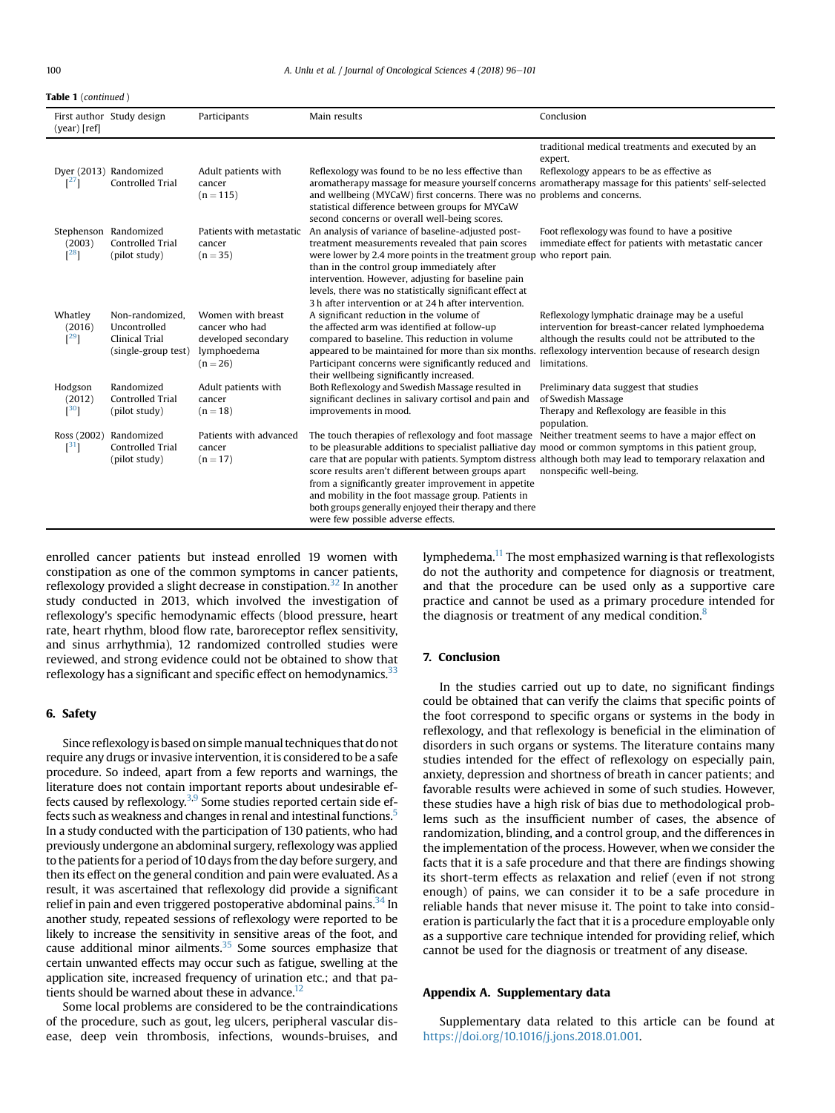Table 1 (continued )

| $(year)$ [ref]                                | First author Study design                                                | Participants                                                                            | Main results                                                                                                                                                                                                                                                                                                                                                                                                                        | Conclusion                                                                                                                                                                                                                         |
|-----------------------------------------------|--------------------------------------------------------------------------|-----------------------------------------------------------------------------------------|-------------------------------------------------------------------------------------------------------------------------------------------------------------------------------------------------------------------------------------------------------------------------------------------------------------------------------------------------------------------------------------------------------------------------------------|------------------------------------------------------------------------------------------------------------------------------------------------------------------------------------------------------------------------------------|
|                                               |                                                                          |                                                                                         |                                                                                                                                                                                                                                                                                                                                                                                                                                     | traditional medical treatments and executed by an<br>expert.                                                                                                                                                                       |
| $\int^{27}$                                   | Dyer (2013) Randomized<br><b>Controlled Trial</b>                        | Adult patients with<br>cancer<br>$(n = 115)$                                            | Reflexology was found to be no less effective than<br>and wellbeing (MYCaW) first concerns. There was no problems and concerns.<br>statistical difference between groups for MYCaW<br>second concerns or overall well-being scores.                                                                                                                                                                                                 | Reflexology appears to be as effective as<br>aromatherapy massage for measure yourself concerns aromatherapy massage for this patients' self-selected                                                                              |
| Stephenson<br>(2003)<br>$[$ <sup>28</sup> $]$ | Randomized<br>Controlled Trial<br>(pilot study)                          | Patients with metastatic<br>cancer<br>$(n = 35)$                                        | An analysis of variance of baseline-adjusted post-<br>treatment measurements revealed that pain scores<br>were lower by 2.4 more points in the treatment group who report pain.<br>than in the control group immediately after<br>intervention. However, adjusting for baseline pain<br>levels, there was no statistically significant effect at<br>3 h after intervention or at 24 h after intervention.                           | Foot reflexology was found to have a positive<br>immediate effect for patients with metastatic cancer                                                                                                                              |
| Whatley<br>(2016)<br>$\lceil^{29}\rceil$      | Non-randomized,<br>Uncontrolled<br>Clinical Trial<br>(single-group test) | Women with breast<br>cancer who had<br>developed secondary<br>lymphoedema<br>$(n = 26)$ | A significant reduction in the volume of<br>the affected arm was identified at follow-up<br>compared to baseline. This reduction in volume<br>appeared to be maintained for more than six months.<br>Participant concerns were significantly reduced and<br>their wellbeing significantly increased.                                                                                                                                | Reflexology lymphatic drainage may be a useful<br>intervention for breast-cancer related lymphoedema<br>although the results could not be attributed to the<br>reflexology intervention because of research design<br>limitations. |
| Hodgson<br>(2012)<br>[30]                     | Randomized<br><b>Controlled Trial</b><br>(pilot study)                   | Adult patients with<br>cancer<br>$(n = 18)$                                             | Both Reflexology and Swedish Massage resulted in<br>significant declines in salivary cortisol and pain and<br>improvements in mood.                                                                                                                                                                                                                                                                                                 | Preliminary data suggest that studies<br>of Swedish Massage<br>Therapy and Reflexology are feasible in this<br>population.                                                                                                         |
| Ross (2002)<br>$\lceil$ <sup>31</sup> ]       | Randomized<br>Controlled Trial<br>(pilot study)                          | Patients with advanced<br>cancer<br>$(n = 17)$                                          | The touch therapies of reflexology and foot massage<br>to be pleasurable additions to specialist palliative day mood or common symptoms in this patient group,<br>score results aren't different between groups apart<br>from a significantly greater improvement in appetite<br>and mobility in the foot massage group. Patients in<br>both groups generally enjoyed their therapy and there<br>were few possible adverse effects. | Neither treatment seems to have a major effect on<br>care that are popular with patients. Symptom distress although both may lead to temporary relaxation and<br>nonspecific well-being.                                           |

enrolled cancer patients but instead enrolled 19 women with constipation as one of the common symptoms in cancer patients, reflexology provided a slight decrease in constipation.<sup>32</sup> In another study conducted in 2013, which involved the investigation of reflexology's specific hemodynamic effects (blood pressure, heart rate, heart rhythm, blood flow rate, baroreceptor reflex sensitivity, and sinus arrhythmia), 12 randomized controlled studies were reviewed, and strong evidence could not be obtained to show that reflexology has a significant and specific effect on hemodynamics.<sup>[33](#page-5-0)</sup>

#### 6. Safety

Since reflexologyis based on simplemanual techniques that do not require any drugs or invasive intervention, it is considered to be a safe procedure. So indeed, apart from a few reports and warnings, the literature does not contain important reports about undesirable effects caused by reflexology. $3,9$  Some studies reported certain side effects such as weakness and changes in renal and intestinal functions.<sup>5</sup> In a study conducted with the participation of 130 patients, who had previously undergone an abdominal surgery, reflexology was applied to the patients for a period of 10 days from the day before surgery, and then its effect on the general condition and pain were evaluated. As a result, it was ascertained that reflexology did provide a significant relief in pain and even triggered postoperative abdominal pains.<sup>[34](#page-5-0)</sup> In another study, repeated sessions of reflexology were reported to be likely to increase the sensitivity in sensitive areas of the foot, and cause additional minor ailments. $35$  Some sources emphasize that certain unwanted effects may occur such as fatigue, swelling at the application site, increased frequency of urination etc.; and that patients should be warned about these in advance.<sup>12</sup>

Some local problems are considered to be the contraindications of the procedure, such as gout, leg ulcers, peripheral vascular disease, deep vein thrombosis, infections, wounds-bruises, and lymphedema.<sup>11</sup> The most emphasized warning is that reflexologists do not the authority and competence for diagnosis or treatment, and that the procedure can be used only as a supportive care practice and cannot be used as a primary procedure intended for the diagnosis or treatment of any medical condition. $8$ 

#### 7. Conclusion

In the studies carried out up to date, no significant findings could be obtained that can verify the claims that specific points of the foot correspond to specific organs or systems in the body in reflexology, and that reflexology is beneficial in the elimination of disorders in such organs or systems. The literature contains many studies intended for the effect of reflexology on especially pain, anxiety, depression and shortness of breath in cancer patients; and favorable results were achieved in some of such studies. However, these studies have a high risk of bias due to methodological problems such as the insufficient number of cases, the absence of randomization, blinding, and a control group, and the differences in the implementation of the process. However, when we consider the facts that it is a safe procedure and that there are findings showing its short-term effects as relaxation and relief (even if not strong enough) of pains, we can consider it to be a safe procedure in reliable hands that never misuse it. The point to take into consideration is particularly the fact that it is a procedure employable only as a supportive care technique intended for providing relief, which cannot be used for the diagnosis or treatment of any disease.

#### Appendix A. Supplementary data

Supplementary data related to this article can be found at [https://doi.org/10.1016/j.jons.2018.01.001.](https://doi.org/10.1016/j.jons.2018.01.001)